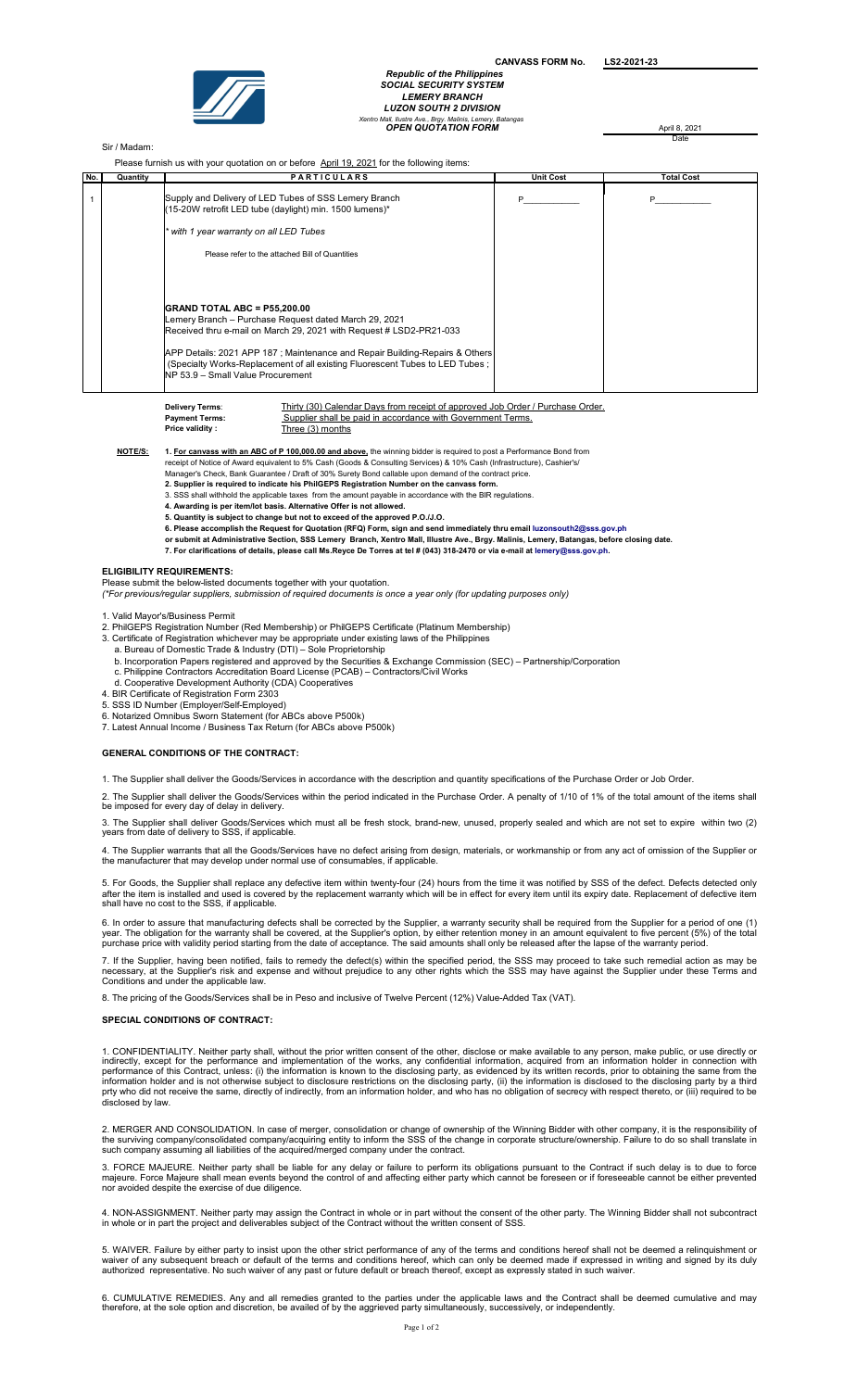CANVASS FORM No. LS2-2021-23



# Republic of the Philippir SOCIAL SECURITY SYSTEM LEMERY BRANCH LUZON SOUTH 2 DIVISION OPEN QUOTATION FORM April 8, 2021 Xentro Mall, Ilustre Ave., Brgy. Malinis, Lemery, Batangas

Date

## Sir / Madam:

Please furnish us with your quotation on or before April 19, 2021 for the following items:

| FIGULE INTIMITY ON WILLIE VOIL QUOLDUITY OF DEIVIC APHITIC, ZUZT TOF LIFE TOROWING ILENTS. |          |                                                                                                                                                                                                                                                                                                                                                                         |                  |                   |  |
|--------------------------------------------------------------------------------------------|----------|-------------------------------------------------------------------------------------------------------------------------------------------------------------------------------------------------------------------------------------------------------------------------------------------------------------------------------------------------------------------------|------------------|-------------------|--|
| No.                                                                                        | Quantity | <b>PARTICULARS</b>                                                                                                                                                                                                                                                                                                                                                      | <b>Unit Cost</b> | <b>Total Cost</b> |  |
|                                                                                            |          | Supply and Delivery of LED Tubes of SSS Lemery Branch<br>(15-20W retrofit LED tube (daylight) min. 1500 lumens)*<br>* with 1 year warranty on all LED Tubes                                                                                                                                                                                                             |                  |                   |  |
|                                                                                            |          | Please refer to the attached Bill of Quantities                                                                                                                                                                                                                                                                                                                         |                  |                   |  |
|                                                                                            |          | <b>GRAND TOTAL ABC = P55,200.00</b><br>Lemery Branch - Purchase Request dated March 29, 2021<br>Received thru e-mail on March 29, 2021 with Request # LSD2-PR21-033<br>APP Details: 2021 APP 187; Maintenance and Repair Building-Repairs & Others<br>(Specialty Works-Replacement of all existing Fluorescent Tubes to LED Tubes;<br>NP 53.9 - Small Value Procurement |                  |                   |  |

)elivery Terms<br>.

Thirty (30) Calendar Days from receipt of approved Job Order / Purchase Order. Payment Terms: Supplier shall be paid in accordance with Government Terms.<br>Price validity: Three (3) months Three  $(3)$  months

NOTE/S: 1. For canvass with an ABC of P 100,000.00 and above, the winning bidder is required to post a Performance Bond from

receipt of Notice of Award equivalent to 5% Cash (Goods & Consulting Services) & 10% Cash (Infrastructure), Cashier's/

- Manager's Check, Bank Guarantee / Draft of 30% Surety Bond callable upon demand of the contract price. 2. Supplier is required to indicate his PhilGEPS Registration Number on the canvass form.
- 
- 3. SSS shall withhold the applicable taxes from the amount payable in accordance with the BIR regulations.<br>**4. Awarding is per item/lot basis. Alternative Offer is not allowed.**
- 5. Quantity is subject to change but not to exceed of the approved P.O./J.O.
- 
- 6. Please accomplish the Request for Quotation (RFQ) Form, sign and send immediately thru email luzonsouth2@sss.gov.ph<br>or submit at Administrative Section, SSS Lemery Branch, Xentro Mall, Illustre Ave., Brgy. Malinis, Lem
- 7. For clarifications of details, please call Ms.Reyce De Torres at tel # (043) 318-2470 or via e-mail at lemery@sss.gov.ph.

#### ELIGIBILITY REQUIREMENTS:

Please submit the below-listed documents together with your quotation.<br>*(\*For previous/regular suppliers, submission of required documents is once a year only (for updating purposes only)* 

- 1. Valid Mayor's/Business Permit
- 2. PhilGEPS Registration Number (Red Membership) or PhilGEPS Certificate (Platinum Membership)
- 3. Certificate of Registration whichever may be appropriate under existing laws of the Philippines
- a. Bureau of Domestic Trade & Industry (DTI) Sole Proprietorship
- b. Incorporation Papers registered and approved by the Securities & Exchange Commission (SEC) Partnership/Corporation<br>c. Philippine Contractors Accreditation Board License (PCAB) Contractors/Civil Works
- 
- d. Cooperative Development Authority (CDA) Cooperatives 4. BIR Certificate of Registration Form 2303
- 5. SSS ID Number (Employer/Self-Employed)
- 
- 6. Notarized Omnibus Sworn Statement (for ABCs above P500k) 7. Latest Annual Income / Business Tax Return (for ABCs above P500k)

#### GENERAL CONDITIONS OF THE CONTRACT:

1. The Supplier shall deliver the Goods/Services in accordance with the description and quantity specifications of the Purchase Order or Job Order.

2. The Supplier shall deliver the Goods/Services within the period indicated in the Purchase Order. A penalty of 1/10 of 1% of the total amount of the items shall be imposed for every day of delay in delivery.

3. The Supplier shall deliver Goods/Services which must all be fresh stock, brand-new, unused, properly sealed and which are not set to expire within two (2) years from date of delivery to SSS, if applicable.

4. The Supplier warrants that all the Goods/Services have no defect arising from design, materials, or workmanship or from any act of omission of the Supplier or<br>the manufacturer that may develop under normal use of consum

5. For Goods, the Supplier shall replace any defective item within twenty-four (24) hours from the time it was notified by SSS of the defect. Defects detected only<br>after the item is installed and used is covered by the rep

6. In order to assure that manufacturing defects shall be corrected by the Supplier, a warranty security shall be required from the Supplier for a period of one (1) year. The obligation for the warranty shall be covered, at the Supplier's option, by either retention money in an amount equivalent to five percent (5%) of the total<br>purchase price with validity period starting from the da

7. If the Supplier, having been notified, fails to remedy the defect(s) within the specified period, the SSS may proceed to take such remedial action as may be<br>necessary, at the Supplier's risk and expense and without prej

8. The pricing of the Goods/Services shall be in Peso and inclusive of Twelve Percent (12%) Value-Added Tax (VAT).

## SPECIAL CONDITIONS OF CONTRACT:

1. CONFIDENTIALITY. Neither party shall, without the prior written consent of the other, disclose or make available to any person, make public, or use directly or indirectly, except for the performance and implementation o

2. MERGER AND CONSOLIDATION. In case of merger, consolidation or change of ownership of the Winning Bidder with other company, it is the responsibility of<br>the surviving company/consolidated company/acquiring entity to info

3. FORCE MAJEURE. Neither party shall be liable for any delay or failure to perform its obligations pursuant to the Contract if such delay is to due to force<br>majeure. Force Majeure shall mean events beyond the control of a nor avoided despite the exercise of due diligence.

4. NON-ASSIGNMENT. Neither party may assign the Contract in whole or in part without the consent of the other party. The Winning Bidder shall not subcontract<br>in whole or in part the project and deliverables subject of the

5. WAIVER. Failure by either party to insist upon the other strict performance of any of the terms and conditions hereof shall not be deemed a relinquishment or<br>waiver of any subsequent breach or default of the terms and c

6. CUMULATIVE REMEDIES. Any and all remedies granted to the parties under the applicable laws and the Contract shall be deemed cumulative and may<br>therefore, at the sole option and discretion, be availed of by the aggrieved